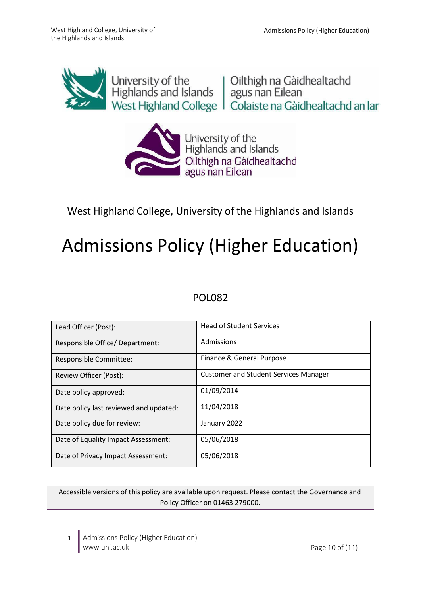

University of the University of the University of the Unit<br>Highlands and Islands | agus nan Eilean West Highland College | Colaiste na Gàidhealtachd an Iar



West Highland College, University of the Highlands and Islands

# Admissions Policy (Higher Education)

# POL082

| Lead Officer (Post):                   | <b>Head of Student Services</b>              |
|----------------------------------------|----------------------------------------------|
| Responsible Office/ Department:        | Admissions                                   |
| Responsible Committee:                 | Finance & General Purpose                    |
| Review Officer (Post):                 | <b>Customer and Student Services Manager</b> |
| Date policy approved:                  | 01/09/2014                                   |
| Date policy last reviewed and updated: | 11/04/2018                                   |
| Date policy due for review:            | January 2022                                 |
| Date of Equality Impact Assessment:    | 05/06/2018                                   |
| Date of Privacy Impact Assessment:     | 05/06/2018                                   |

Accessible versions of this policy are available upon request. Please contact the Governance and Policy Officer on 01463 279000.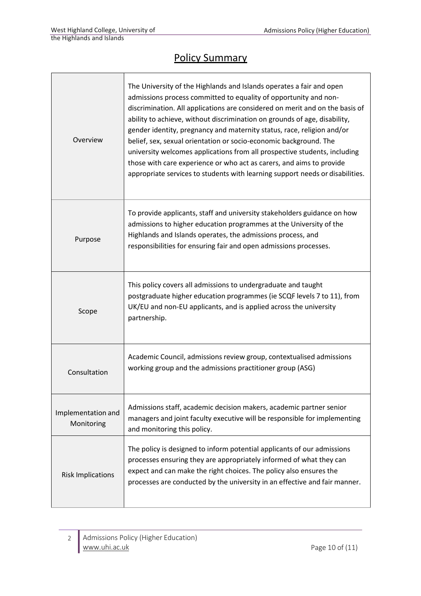Г

# Policy Summary

| Overview                         | The University of the Highlands and Islands operates a fair and open<br>admissions process committed to equality of opportunity and non-<br>discrimination. All applications are considered on merit and on the basis of<br>ability to achieve, without discrimination on grounds of age, disability,<br>gender identity, pregnancy and maternity status, race, religion and/or<br>belief, sex, sexual orientation or socio-economic background. The<br>university welcomes applications from all prospective students, including<br>those with care experience or who act as carers, and aims to provide<br>appropriate services to students with learning support needs or disabilities. |  |
|----------------------------------|--------------------------------------------------------------------------------------------------------------------------------------------------------------------------------------------------------------------------------------------------------------------------------------------------------------------------------------------------------------------------------------------------------------------------------------------------------------------------------------------------------------------------------------------------------------------------------------------------------------------------------------------------------------------------------------------|--|
| Purpose                          | To provide applicants, staff and university stakeholders guidance on how<br>admissions to higher education programmes at the University of the<br>Highlands and Islands operates, the admissions process, and<br>responsibilities for ensuring fair and open admissions processes.                                                                                                                                                                                                                                                                                                                                                                                                         |  |
| Scope                            | This policy covers all admissions to undergraduate and taught<br>postgraduate higher education programmes (ie SCQF levels 7 to 11), from<br>UK/EU and non-EU applicants, and is applied across the university<br>partnership.                                                                                                                                                                                                                                                                                                                                                                                                                                                              |  |
| Consultation                     | Academic Council, admissions review group, contextualised admissions<br>working group and the admissions practitioner group (ASG)                                                                                                                                                                                                                                                                                                                                                                                                                                                                                                                                                          |  |
| Implementation and<br>Monitoring | Admissions staff, academic decision makers, academic partner senior<br>managers and joint faculty executive will be responsible for implementing<br>and monitoring this policy.                                                                                                                                                                                                                                                                                                                                                                                                                                                                                                            |  |
| <b>Risk Implications</b>         | The policy is designed to inform potential applicants of our admissions<br>processes ensuring they are appropriately informed of what they can<br>expect and can make the right choices. The policy also ensures the<br>processes are conducted by the university in an effective and fair manner.                                                                                                                                                                                                                                                                                                                                                                                         |  |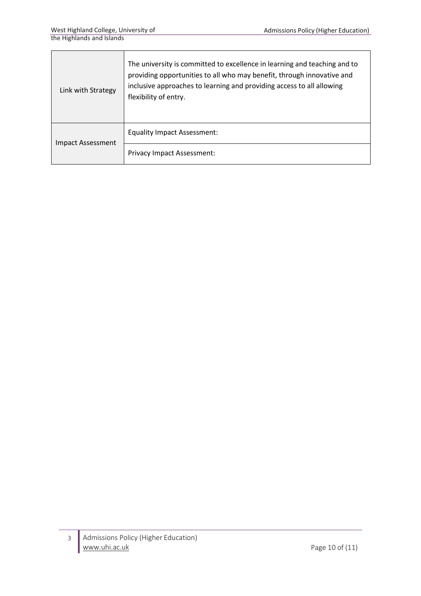| Link with Strategy | The university is committed to excellence in learning and teaching and to<br>providing opportunities to all who may benefit, through innovative and<br>inclusive approaches to learning and providing access to all allowing<br>flexibility of entry. |  |
|--------------------|-------------------------------------------------------------------------------------------------------------------------------------------------------------------------------------------------------------------------------------------------------|--|
| Impact Assessment  | <b>Equality Impact Assessment:</b>                                                                                                                                                                                                                    |  |
|                    | <b>Privacy Impact Assessment:</b>                                                                                                                                                                                                                     |  |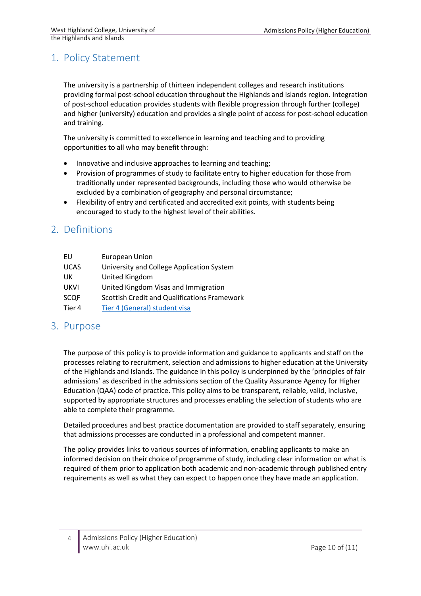## 1. Policy Statement

The university is a partnership of thirteen independent colleges and research institutions providing formal post-school education throughout the Highlands and Islandsregion. Integration of post-school education provides students with flexible progression through further (college) and higher (university) education and provides a single point of access for post-school education and training.

The university is committed to excellence in learning and teaching and to providing opportunities to all who may benefit through:

- Innovative and inclusive approaches to learning and teaching;
- Provision of programmes of study to facilitate entry to higher education for those from traditionally under represented backgrounds, including those who would otherwise be excluded by a combination of geography and personal circumstance;
- Flexibility of entry and certificated and accredited exit points, with students being encouraged to study to the highest level of their abilities.

## 2. Definitions

| EU          | <b>European Union</b>                               |
|-------------|-----------------------------------------------------|
| <b>UCAS</b> | University and College Application System           |
| UK          | United Kingdom                                      |
| <b>UKVI</b> | United Kingdom Visas and Immigration                |
| <b>SCQF</b> | <b>Scottish Credit and Qualifications Framework</b> |
| Tier 4      | Tier 4 (General) student visa                       |

### 3. Purpose

The purpose of this policy is to provide information and guidance to applicants and staff on the processes relating to recruitment, selection and admissions to higher education at the University of the Highlands and Islands. The guidance in this policy is underpinned by the 'principles of fair admissions' as described in the admissions section of the Quality Assurance Agency for Higher Education (QAA) code of practice. This policy aims to be transparent, reliable, valid, inclusive, supported by appropriate structures and processes enabling the selection of students who are able to complete their programme.

Detailed procedures and best practice documentation are provided to staff separately, ensuring that admissions processes are conducted in a professional and competent manner.

The policy provides links to various sources of information, enabling applicants to make an informed decision on their choice of programme of study, including clear information on what is required of them prior to application both academic and non-academic through published entry requirements as well as what they can expect to happen once they have made an application.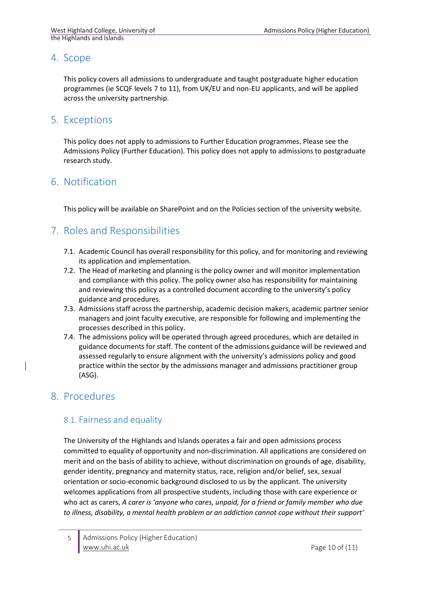## 4. Scope

This policy covers all admissions to undergraduate and taught postgraduate higher education programmes (ie SCQF levels 7 to 11), from UK/EU and non-EU applicants, and will be applied across the university partnership.

## 5. Exceptions

This policy does not apply to admissions to Further Education programmes. Please see the Admissions Policy (Further Education). This policy does not apply to admissions to postgraduate research study.

## 6. Notification

This policy will be available on SharePoint and on the Policies section of the university website.

# 7. Roles and Responsibilities

- 7.1. Academic Council has overall responsibility for this policy, and for monitoring and reviewing its application and implementation.
- 7.2. The Head of marketing and planning is the policy owner and will monitor implementation and compliance with this policy. The policy owner also has responsibility for maintaining and reviewing this policy as a controlled document according to the university's policy guidance and procedures.
- 7.3. Admissions staff across the partnership, academic decision makers, academic partner senior managers and joint faculty executive, are responsible for following and implementing the processes described in this policy.
- 7.4. The admissions policy will be operated through agreed procedures, which are detailed in guidance documents for staff. The content of the admissions guidance will be reviewed and assessed regularly to ensure alignment with the university's admissions policy and good practice within the sector by the admissions manager and admissions practitioner group (ASG).

## 8. Procedures

### 8.1. Fairness and equality

The University of the Highlands and Islands operates a fair and open admissions process committed to equality of opportunity and non-discrimination. All applications are considered on merit and on the basis of ability to achieve, without discrimination on grounds of age, disability, gender identity, pregnancy and maternity status, race, religion and/or belief, sex, sexual orientation or socio-economic background disclosed to us by the applicant. The university welcomes applications from all prospective students, including those with care experience or who act as carers, *A carer is 'anyone who cares, unpaid, for a friend or family member who due to illness, disability, a mental health problem or an addiction cannot cope without their support'*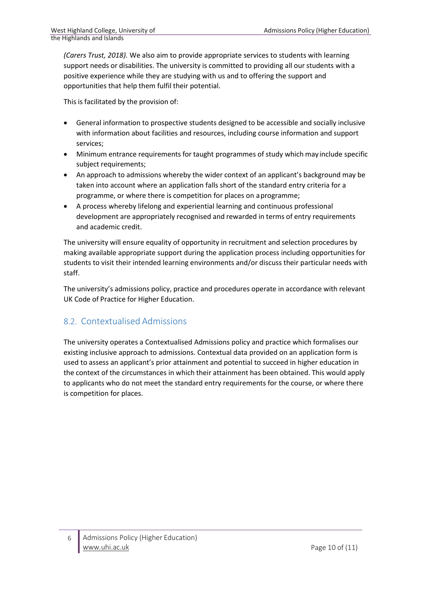*(Carers Trust, 2018).* We also aim to provide appropriate services to students with learning support needs or disabilities. The university is committed to providing all our students with a positive experience while they are studying with us and to offering the support and opportunities that help them fulfil their potential.

This is facilitated by the provision of:

- General information to prospective students designed to be accessible and socially inclusive with information about facilities and resources, including course information and support services;
- Minimum entrance requirements for taught programmes of study which may include specific subject requirements;
- An approach to admissions whereby the wider context of an applicant's background may be taken into account where an application falls short of the standard entry criteria for a programme, or where there is competition for places on aprogramme;
- A process whereby lifelong and experiential learning and continuous professional development are appropriately recognised and rewarded in terms of entry requirements and academic credit.

The university will ensure equality of opportunity in recruitment and selection procedures by making available appropriate support during the application process including opportunities for students to visit their intended learning environments and/or discuss their particular needs with staff.

The university's admissions policy, practice and procedures operate in accordance with relevant UK Code of Practice for Higher Education.

### 8.2. Contextualised Admissions

The university operates a Contextualised Admissions policy and practice which formalises our existing inclusive approach to admissions. Contextual data provided on an application form is used to assess an applicant's prior attainment and potential to succeed in higher education in the context of the circumstances in which their attainment has been obtained. This would apply to applicants who do not meet the standard entry requirements for the course, or where there is competition for places.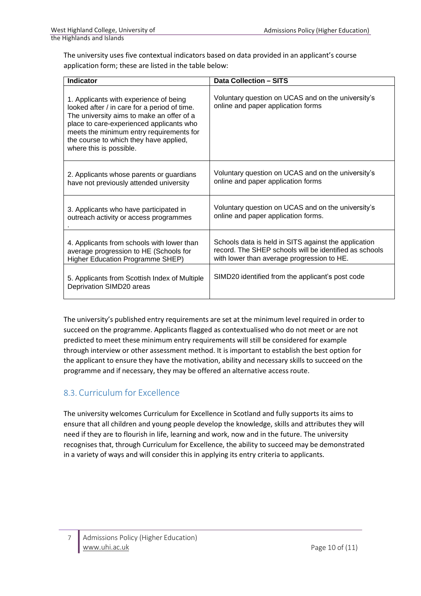The university uses five contextual indicators based on data provided in an applicant's course application form; these are listed in the table below:

| <b>Indicator</b>                                                                                                                                                                                                                                                                                 | <b>Data Collection - SITS</b>                                                            |
|--------------------------------------------------------------------------------------------------------------------------------------------------------------------------------------------------------------------------------------------------------------------------------------------------|------------------------------------------------------------------------------------------|
| 1. Applicants with experience of being<br>looked after / in care for a period of time.<br>The university aims to make an offer of a<br>place to care-experienced applicants who<br>meets the minimum entry requirements for<br>the course to which they have applied,<br>where this is possible. | Voluntary question on UCAS and on the university's<br>online and paper application forms |
| 2. Applicants whose parents or guardians                                                                                                                                                                                                                                                         | Voluntary question on UCAS and on the university's                                       |
| have not previously attended university                                                                                                                                                                                                                                                          | online and paper application forms                                                       |
| 3. Applicants who have participated in                                                                                                                                                                                                                                                           | Voluntary question on UCAS and on the university's                                       |
| outreach activity or access programmes                                                                                                                                                                                                                                                           | online and paper application forms.                                                      |
| 4. Applicants from schools with lower than                                                                                                                                                                                                                                                       | Schools data is held in SITS against the application                                     |
| average progression to HE (Schools for                                                                                                                                                                                                                                                           | record. The SHEP schools will be identified as schools                                   |
| Higher Education Programme SHEP)                                                                                                                                                                                                                                                                 | with lower than average progression to HE.                                               |
| 5. Applicants from Scottish Index of Multiple<br>Deprivation SIMD20 areas                                                                                                                                                                                                                        | SIMD20 identified from the applicant's post code                                         |

The university's published entry requirements are set at the minimum level required in order to succeed on the programme. Applicants flagged as contextualised who do not meet or are not predicted to meet these minimum entry requirements will still be considered for example through interview or other assessment method. It is important to establish the best option for the applicant to ensure they have the motivation, ability and necessary skills to succeed on the programme and if necessary, they may be offered an alternative access route.

## 8.3. Curriculum for Excellence

The university welcomes Curriculum for Excellence in Scotland and fully supports its aims to ensure that all children and young people develop the knowledge, skills and attributes they will need if they are to flourish in life, learning and work, now and in the future. The university recognises that, through Curriculum for Excellence, the ability to succeed may be demonstrated in a variety of ways and will consider this in applying its entry criteria to applicants.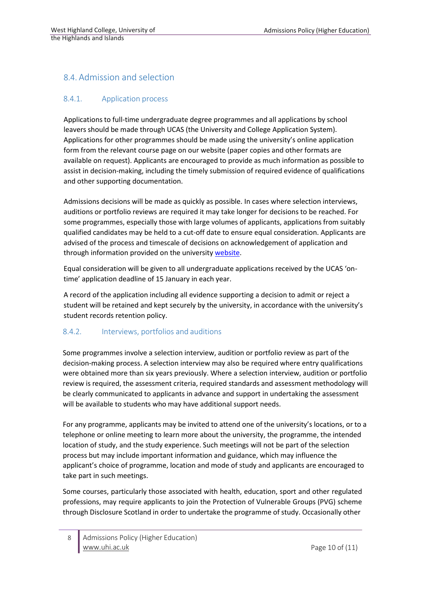### 8.4. Admission and selection

#### 8.4.1. Application process

Applicationsto full-time undergraduate degree programmes and all applications by school leavers should be made through UCAS (the University and College Application System). Applications for other programmes should be made using the university's online application form from the relevant course page on our website (paper copies and other formats are available on request). Applicants are encouraged to provide as much information as possible to assist in decision-making, including the timely submission of required evidence of qualifications and other supporting documentation.

Admissions decisions will be made as quickly as possible. In cases where selection interviews, auditions or portfolio reviews are required it may take longer for decisions to be reached. For some programmes, especially those with large volumes of applicants, applications from suitably qualified candidates may be held to a cut-off date to ensure equal consideration. Applicants are advised of the process and timescale of decisions on acknowledgement of application and through [information](http://www.uhi.ac.uk/en/studying-at-uhi/first-steps/already-applied/application-process-dates) provided on the university websit[e.](http://www.uhi.ac.uk/en/studying-at-uhi/first-steps/already-applied/application-process-dates)

Equal consideration will be given to all undergraduate applications received by the UCAS 'ontime' application deadline of 15 January in each year.

A record of the application including all evidence supporting a decision to admit or reject a student will be retained and kept securely by the university, in accordance with the university's student records retention policy.

#### 8.4.2. Interviews, portfolios and auditions

Some programmes involve a selection interview, audition or portfolio review as part of the decision-making process. A selection interview may also be required where entry qualifications were obtained more than six years previously. Where a selection interview, audition or portfolio review is required, the assessment criteria, required standards and assessment methodology will be clearly communicated to applicants in advance and support in undertaking the assessment will be available to students who may have additional support needs.

For any programme, applicants may be invited to attend one of the university's locations, or to a telephone or online meeting to learn more about the university, the programme, the intended location of study, and the study experience. Such meetings will not be part of the selection process but may include important information and guidance, which may influence the applicant's choice of programme, location and mode of study and applicants are encouraged to take part in such meetings.

Some courses, particularly those associated with health, education, sport and other regulated professions, may require applicants to join the Protection of Vulnerable Groups (PVG) scheme through Disclosure Scotland in order to undertake the programme of study. Occasionally other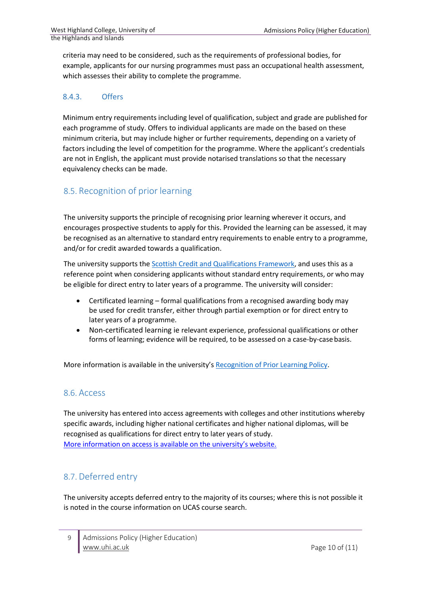criteria may need to be considered, such as the requirements of professional bodies, for example, applicants for our nursing programmes must pass an occupational health assessment, which assesses their ability to complete the programme.

#### 8.4.3. Offers

Minimum entry requirements including level of qualification, subject and grade are published for each programme of study. Offers to individual applicants are made on the based on these minimum criteria, but may include higher or further requirements, depending on a variety of factors including the level of competition for the programme. Where the applicant's credentials are not in English, the applicant must provide notarised translations so that the necessary equivalency checks can be made.

## 8.5. Recognition of prior learning

The university supports the principle of recognising prior learning wherever it occurs, and encourages prospective students to apply for this. Provided the learning can be assessed, it may be recognised as an alternative to standard entry requirements to enable entry to a programme, and/or for credit awarded towards a qualification.

The university supports th[e Scottish Credit and Qualifications Framework, a](http://scqf.org.uk/the-framework/about-the-framework/)nd uses this as a reference point when considering applicants without standard entry requirements, or who may be eligible for direct entry to later years of a programme. The university will consider:

- Certificated learning formal qualifications from a recognised awarding body may be used for credit transfer, either through partial exemption or for direct entry to later years of a programme.
- Non-certificated learning ie relevant experience, professional qualifications or other forms of learning; evidence will be required, to be assessed on a case-by-case basis.

More information is available in the university's [Recognition](https://www.uhi.ac.uk/en/studying-at-uhi/first-steps/recognition-of-prior-learning-and-credit-transfer/) of Prior Learning Policy.

#### 8.6. Access

The university has entered into access agreements with colleges and other institutions whereby specific awards, including higher national certificates and higher national diplomas, will be recognised as qualifications for direct entry to later years of study. More [information](http://www.uhi.ac.uk/en/studying-at-uhi/first-steps/articulation) on [access](http://www.uhi.ac.uk/en/studying-at-uhi/first-steps/articulation) is available on the [university's](http://www.uhi.ac.uk/en/studying-at-uhi/first-steps/articulation) website.

### 8.7. Deferred entry

The university accepts deferred entry to the majority of its courses; where this is not possible it is noted in the course information on UCAS course search.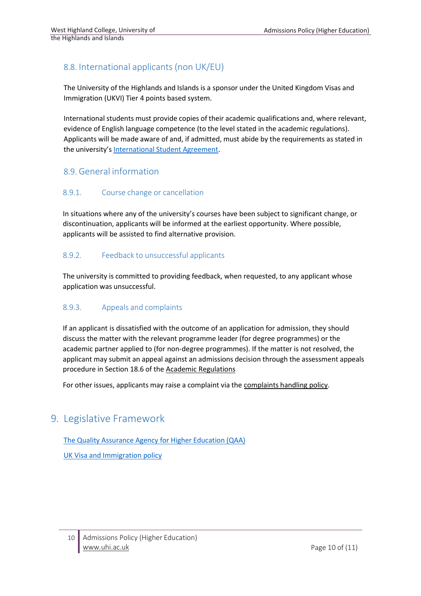## 8.8. International applicants (non UK/EU)

The University of the Highlands and Islands is a sponsor under the United Kingdom Visas and Immigration (UKVI) Tier 4 points based system.

International students must provide copies of their academic qualifications and, where relevant, evidence of English language competence (to the level stated in the academic regulations). Applicants will be made aware of and, if admitted, must abide by the requirements as stated in the university's [International](https://www.uhi.ac.uk/en/t4-media/one-web/university/study-at-uhi/international/international-student-agreement.pdf) Student Agreement.

### 8.9. General information

#### 8.9.1. Course change or cancellation

In situations where any of the university's courses have been subject to significant change, or discontinuation, applicants will be informed at the earliest opportunity. Where possible, applicants will be assisted to find alternative provision.

#### 8.9.2. Feedback to unsuccessful applicants

The university is committed to providing feedback, when requested, to any applicant whose application was unsuccessful.

#### 8.9.3. Appeals and complaints

If an applicant is dissatisfied with the outcome of an application for admission, they should discuss the matter with the relevant programme leader (for degree programmes) or the academic partner applied to (for non-degree programmes). If the matter is not resolved, the applicant may submit an appeal against an admissions decision through the assessment appeals procedure in Section 18.6 of the Academic [Regulations](https://www.uhi.ac.uk/en/about-uhi/governance/policies-and-regulations/regulations/)

For other issues, applicants may raise a complaint via the [complaints](https://www.uhi.ac.uk/en/about-uhi/governance/policies-and-regulations/policies/student-complaints-policy-and-procedure/) handling policy.

## 9. Legislative Framework

The Quality [Assurance](http://www.qaa.ac.uk/assuring-standards-and-quality/the-quality-code/quality-code-part-b) Agency for Higher Education (QAA)

UK Visa and [Immigration](https://www.gov.uk/government/publications/guidance-on-application-for-uk-visa-as-tier-4-student) policy